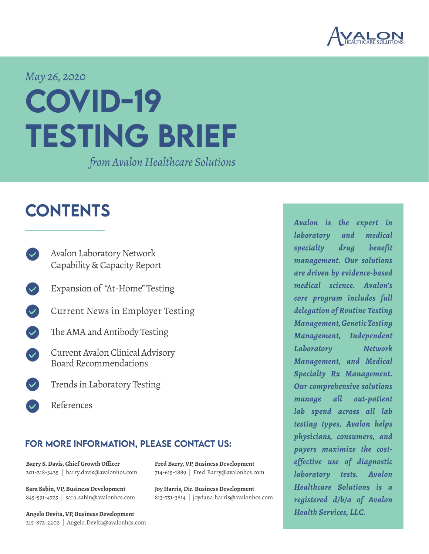

*May 26, 2020*

# COVID-19 testing brief

*from Avalon Healthcare Solutions*

# **CONTENTS**

- [Avalon Laboratory Network](#page-1-0) [Capability & Capacity Report](#page-1-0)
- Expansion of "At-Home" Testing
- [Current News in Employer Testing](#page-3-0)
- $\mathbf{\mathcal{L}}$ [The AMA and Antibody Testing](#page-5-0)
- [Current Avalon Clinical Advisory](#page-5-1) [Board Recommendations](#page-5-1)
	- [Trends in Laboratory Testing](#page-6-0)
	- [References](#page-11-0)

### for more information, please contact us:

**[Barry S. Davis, Chief Growth Officer](mailto:barry.davis%40avalonhcs.com%20?subject=)** 201-218-3425 | barry.davis@avalonhcs.com

**[Sara Sabin, VP, Business Development](mailto:sara.sabin%40avalonhcs.com?subject=)** 845-591-4725 | sara.sabin@avalonhcs.com

**[Angelo Devita, VP, Business Development](mailto:Angelo.Devita%40avalonhcs.com?subject=)** 215-872-2202 | Angelo.Devita@avalonhcs.com **[Fred Barry, VP, Business Development](mailto:Fred.Barry%40avalonhcs.com?subject=)** 714-615-1889 | Fred.Barry@avalonhcs.com

**[Joy Harris, Dir. Business Development](mailto:%20joydana.harris%40avalonhcs.com?subject=)** 813-751-3814 | joydana.harris@avalonhcs.com *Avalon is the expert in laboratory and medical specialty drug benefit management. Our solutions are driven by evidence-based medical science. Avalon's core program includes full delegation of Routine Testing Management, Genetic Testing Management, Independent Laboratory Network Management, and Medical Specialty Rx Management. Our comprehensive solutions manage all out-patient lab spend across all lab testing types. Avalon helps physicians, consumers, and payers maximize the costeffective use of diagnostic laboratory tests. Avalon Healthcare Solutions is a registered d/b/a of Avalon Health Services, LLC.*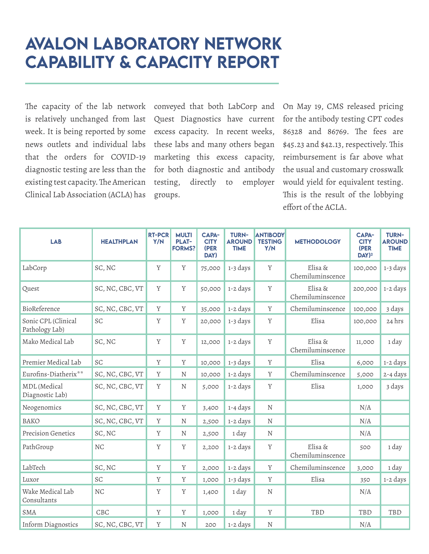# <span id="page-1-0"></span>Avalon Laboratory Network Capability & Capacity Report

The capacity of the lab network is relatively unchanged from last week. It is being reported by some news outlets and individual labs that the orders for COVID-19 diagnostic testing are less than the existing test capacity. The American Clinical Lab Association (ACLA) has

conveyed that both LabCorp and Quest Diagnostics have current excess capacity. In recent weeks, these labs and many others began marketing this excess capacity, for both diagnostic and antibody testing, directly to employer groups.

On May 19, CMS released pricing for the antibody testing CPT codes 86328 and 86769. The fees are \$45.23 and \$42.13, respectively. This reimbursement is far above what the usual and customary crosswalk would yield for equivalent testing. This is the result of the lobbying effort of the ACLA.

| <b>LAB</b>                             | <b>HEALTHPLAN</b> | <b>RT-PCR</b><br>Y/N | <b>MULTI</b><br><b>PLAT-</b><br><b>FORMS?</b> | <b>CAPA-</b><br><b>CITY</b><br>(PER<br>DAY) | <b>TURN-</b><br><b>AROUND</b><br><b>TIME</b> | <b>ANTIBODY</b><br><b>TESTING</b><br>Y/N | <b>METHODOLOGY</b>          | <b>CAPA-</b><br><b>CITY</b><br>(PER<br>$DAY)^2$ | <b>TURN-</b><br><b>AROUND</b><br><b>TIME</b> |
|----------------------------------------|-------------------|----------------------|-----------------------------------------------|---------------------------------------------|----------------------------------------------|------------------------------------------|-----------------------------|-------------------------------------------------|----------------------------------------------|
| LabCorp                                | SC, NC            | $\mathbf Y$          | $\mathbf Y$                                   | 75,000                                      | 1-3 days                                     | $\mathbf Y$                              | Elisa &<br>Chemiluminscence | 100,000                                         | 1-3 days                                     |
| Quest                                  | SC, NC, CBC, VT   | $\mathbf Y$          | Y                                             | 50,000                                      | 1-2 days                                     | $\mathbf Y$                              | Elisa &<br>Chemiluminscence | 200,000                                         | 1-2 days                                     |
| BioReference                           | SC, NC, CBC, VT   | Y                    | Y                                             | 35,000                                      | 1-2 days                                     | Y                                        | Chemiluminscence            | 100,000                                         | 3 days                                       |
| Sonic CPL (Clinical<br>Pathology Lab)  | SC                | Y                    | Y                                             | 20,000                                      | 1-3 days                                     | $\mathbf Y$                              | Elisa                       | 100,000                                         | 24 hrs                                       |
| Mako Medical Lab                       | SC, NC            | $\mathbf Y$          | Y                                             | 12,000                                      | 1-2 days                                     | $\mathbf Y$                              | Elisa &<br>Chemiluminscence | 11,000                                          | 1 day                                        |
| Premier Medical Lab                    | SC                | Y                    | Y                                             | 10,000                                      | 1-3 days                                     | $\mathbf Y$                              | Elisa                       | 6,000                                           | 1-2 days                                     |
| Eurofins-Diatherix**                   | SC, NC, CBC, VT   | Y                    | N                                             | 10,000                                      | 1-2 days                                     | Y                                        | Chemiluminscence            | 5,000                                           | 2-4 days                                     |
| <b>MDL</b> (Medical<br>Diagnostic Lab) | SC, NC, CBC, VT   | Y                    | N                                             | 5,000                                       | 1-2 days                                     | Y                                        | Elisa                       | 1,000                                           | 3 days                                       |
| Neogenomics                            | SC, NC, CBC, VT   | $\mathbf Y$          | $\mathbf Y$                                   | 3,400                                       | 1-4 days                                     | ${\bf N}$                                |                             | N/A                                             |                                              |
| <b>BAKO</b>                            | SC, NC, CBC, VT   | Y                    | ${\rm N}$                                     | 2,500                                       | 1-2 days                                     | ${\rm N}$                                |                             | N/A                                             |                                              |
| <b>Precision Genetics</b>              | SC, NC            | Y                    | N                                             | 2,500                                       | 1 day                                        | N                                        |                             | N/A                                             |                                              |
| PathGroup                              | NC                | Y                    | Y                                             | 2,200                                       | 1-2 days                                     | Y                                        | Elisa &<br>Chemiluminscence | 500                                             | 1 day                                        |
| LabTech                                | SC, NC            | Y                    | Y                                             | 2,000                                       | 1-2 days                                     | $\mathbf Y$                              | Chemiluminscence            | 3,000                                           | 1 day                                        |
| Luxor                                  | SC                | Y                    | Y                                             | 1,000                                       | 1-3 days                                     | Y                                        | Elisa                       | 350                                             | 1-2 days                                     |
| Wake Medical Lab<br>Consultants        | $\rm{NC}$         | Y                    | Y                                             | 1,400                                       | 1 day                                        | ${\rm N}$                                |                             | N/A                                             |                                              |
| <b>SMA</b>                             | CBC               | Y                    | Y                                             | 1,000                                       | 1 day                                        | $\mathbf Y$                              | TBD                         | TBD                                             | TBD                                          |
| Inform Diagnostics                     | SC, NC, CBC, VT   | Y                    | $\rm N$                                       | 200                                         | 1-2 days                                     | ${\rm N}$                                |                             | N/A                                             |                                              |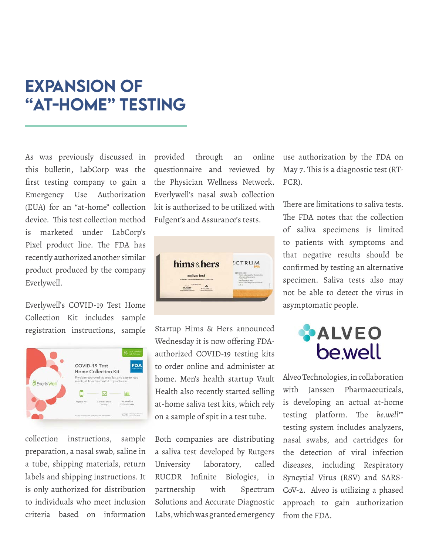## EXPANSION OF "AT-HOME" TESTING

As was previously discussed in this bulletin, LabCorp was the first testing company to gain a Emergency Use Authorization (EUA) for an "at-home" collection device. This test collection method is marketed under LabCorp's Pixel product line. The FDA has recently authorized another similar product produced by the company Everlywell.

Everlywell's COVID-19 Test Home Collection Kit includes sample registration instructions, sample



collection instructions, sample preparation, a nasal swab, saline in a tube, shipping materials, return labels and shipping instructions. It is only authorized for distribution to individuals who meet inclusion criteria based on information provided through an online questionnaire and reviewed by the Physician Wellness Network. Everlywell's nasal swab collection kit is authorized to be utilized with Fulgent's and Assurance's tests.



Startup Hims & Hers announced Wednesday it is now offering FDAauthorized COVID-19 testing kits to order online and administer at home. Men's health startup Vault Health also recently started selling at-home saliva test kits, which rely on a sample of spit in a test tube.

Both companies are distributing a saliva test developed by Rutgers University laboratory, called RUCDR Infinite Biologics, in partnership with Spectrum Solutions and Accurate Diagnostic Labs, which was granted emergency

use authorization by the FDA on May 7. This is a diagnostic test (RT-PCR).

There are limitations to saliva tests. The FDA notes that the collection of saliva specimens is limited to patients with symptoms and that negative results should be confirmed by testing an alternative specimen. Saliva tests also may not be able to detect the virus in asymptomatic people.

# **ALVEO bewell**

Alveo Technologies, in collaboration with Janssen Pharmaceuticals, is developing an actual at-home testing platform. The *be.well*™ testing system includes analyzers, nasal swabs, and cartridges for the detection of viral infection diseases, including Respiratory Syncytial Virus (RSV) and SARS-CoV-2. Alveo is utilizing a phased approach to gain authorization from the FDA.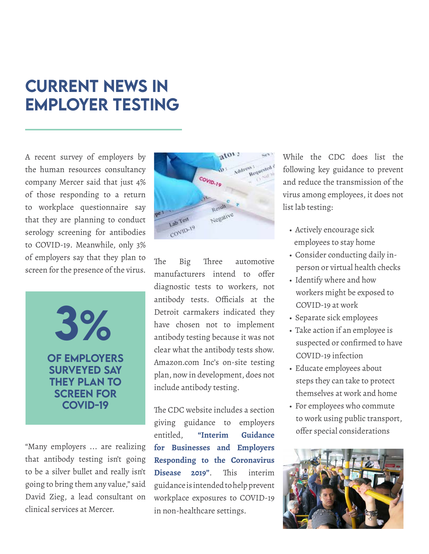# <span id="page-3-0"></span>CURRENT NEWS IN EMPLOYER Testing

A recent survey of employers by the human resources consultancy company Mercer said that just 4% of those responding to a return to workplace questionnaire say that they are planning to conduct serology screening for antibodies to COVID-19. Meanwhile, only 3% of employers say that they plan to screen for the presence of the virus.

> 3% OF EMPLOYERS SURVEYED SAY THEY PLAN TO SCREEN FOR COVID-19

"Many employers ... are realizing that antibody testing isn't going to be a silver bullet and really isn't going to bring them any value," said David Zieg, a lead consultant on clinical services at Mercer.



The Big Three automotive manufacturers intend to offer diagnostic tests to workers, not antibody tests. Officials at the Detroit carmakers indicated they have chosen not to implement antibody testing because it was not clear what the antibody tests show. Amazon.com Inc's on-site testing plan, now in development, does not include antibody testing.

The CDC website includes a section giving guidance to employers entitled, **["Interim Guidance](https://www.cdc.gov/coronavirus/2019-ncov/community/guidance-business-response.html)  [for Businesses and Employers](https://www.cdc.gov/coronavirus/2019-ncov/community/guidance-business-response.html) [Responding to the Coronavirus](https://www.cdc.gov/coronavirus/2019-ncov/community/guidance-business-response.html) [Disease 2019"](https://www.cdc.gov/coronavirus/2019-ncov/community/guidance-business-response.html)**. This interim guidance is intended to help prevent workplace exposures to COVID-19 in non-healthcare settings.

While the CDC does list the following key guidance to prevent and reduce the transmission of the virus among employees, it does not list lab testing:

- Actively encourage sick employees to stay home
- Consider conducting daily in person or virtual health checks
- Identify where and how workers might be exposed to COVID-19 at work
- Separate sick employees
- Take action if an employee is suspected or confirmed to have COVID-19 infection
- Educate employees about steps they can take to protect themselves at work and home
- For employees who commute to work using public transport, offer special considerations

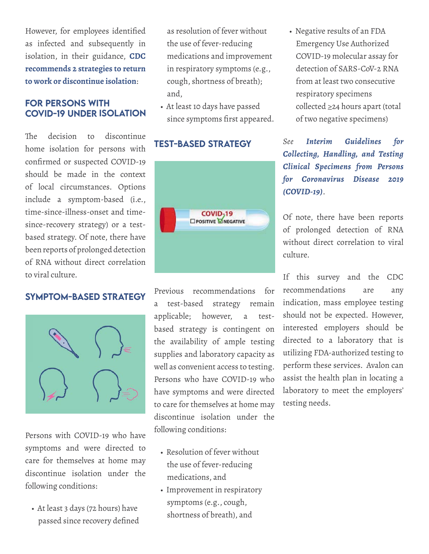However, for employees identified as infected and subsequently in isolation, in their guidance, **[CDC](https://www.cdc.gov/coronavirus/2019-ncov/hcp/disposition-in-home-patients.html)  [recommends 2 strategies to return](https://www.cdc.gov/coronavirus/2019-ncov/hcp/disposition-in-home-patients.html) [to work or discontinue isolation](https://www.cdc.gov/coronavirus/2019-ncov/hcp/disposition-in-home-patients.html)**:

### for PERSONS WITH COVID-19 UNDER ISOLATIO

The decision to discontinue home isolation for persons with confirmed or suspected COVID-19 should be made in the context of local circumstances. Options include a symptom-based (i.e., time-since-illness-onset and timesince-recovery strategy) or a testbased strategy. Of note, there have been reports of prolonged detection of RNA without direct correlation to viral culture.

### SYMPTOM-BASED STRATEGY



Persons with COVID-19 who have symptoms and were directed to care for themselves at home may discontinue isolation under the following conditions:

• At least 3 days (72 hours) have passed since recovery defined  as resolution of fever without the use of fever-reducing medications and improvement in respiratory symptoms (e.g., cough, shortness of breath); and,

• At least 10 days have passed since symptoms first appeared.

### TEST-BASED STRATEGY



Previous recommendations for a test-based strategy remain applicable; however, a testbased strategy is contingent on the availability of ample testing supplies and laboratory capacity as well as convenient access to testing. Persons who have COVID-19 who have symptoms and were directed to care for themselves at home may discontinue isolation under the following conditions:

- Resolution of fever without the use of fever-reducing medications, and
- Improvement in respiratory symptoms (e.g., cough, shortness of breath), and

• Negative results of an FDA Emergency Use Authorized COVID-19 molecular assay for detection of SARS-CoV-2 RNA from at least two consecutive respiratory specimens collected ≥24 hours apart (total of two negative specimens)

*See [Interim Guidelines for](https://www.cdc.gov/coronavirus/2019-nCoV/lab/guidelines-clinical-specimens.html)  [Collecting, Handling, and Testing](https://www.cdc.gov/coronavirus/2019-nCoV/lab/guidelines-clinical-specimens.html)  [Clinical Specimens from Persons](https://www.cdc.gov/coronavirus/2019-nCoV/lab/guidelines-clinical-specimens.html) [for Coronavirus Disease 2019](https://www.cdc.gov/coronavirus/2019-nCoV/lab/guidelines-clinical-specimens.html) [\(COVID-19\)](https://www.cdc.gov/coronavirus/2019-nCoV/lab/guidelines-clinical-specimens.html)*.

Of note, there have been reports of prolonged detection of RNA without direct correlation to viral culture.

If this survey and the CDC recommendations are any indication, mass employee testing should not be expected. However, interested employers should be directed to a laboratory that is utilizing FDA-authorized testing to perform these services. Avalon can assist the health plan in locating a laboratory to meet the employers' testing needs.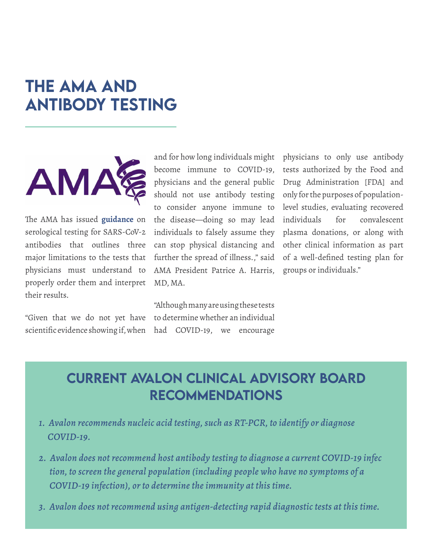# <span id="page-5-0"></span>THE AMA AND ANTIBODY TESTING



The AMA has issued **[guidance](https://www.ama-assn.org/delivering-care/public-health/sars-cov-2-serology-tests-3-big-limitations-doctors-must-understand)** on serological testing for SARS-CoV-2 antibodies that outlines three major limitations to the tests that physicians must understand to properly order them and interpret their results.

"Given that we do not yet have scientific evidence showing if, when

and for how long individuals might become immune to COVID-19, physicians and the general public should not use antibody testing to consider anyone immune to the disease—doing so may lead individuals to falsely assume they can stop physical distancing and further the spread of illness.," said AMA President Patrice A. Harris, MD, MA.

"Although many are using these tests to determine whether an individual had COVID-19, we encourage physicians to only use antibody tests authorized by the Food and Drug Administration [FDA] and only for the purposes of populationlevel studies, evaluating recovered individuals for convalescent plasma donations, or along with other clinical information as part of a well-defined testing plan for groups or individuals."

### <span id="page-5-1"></span>CURRENT AVALON CLINICAL ADVISORY BOARD RECOMMENDATIONS

- *1. Avalon recommends nucleic acid testing, such as RT-PCR, to identify or diagnose COVID-19.*
- *2. Avalon does not recommend host antibody testing to diagnose a current COVID-19 infec tion, to screen the general population (including people who have no symptoms of a COVID-19 infection), or to determine the immunity at this time.*
- *3. Avalon does not recommend using antigen-detecting rapid diagnostic tests at this time.*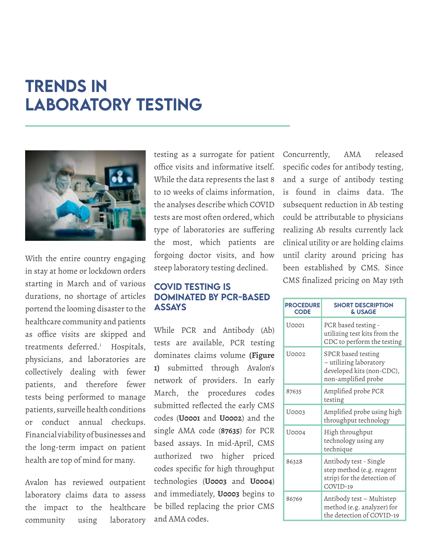# <span id="page-6-0"></span>TRENDS IN LABORATORY TESTING



With the entire country engaging in stay at home or lockdown orders starting in March and of various durations, no shortage of articles portend the looming disaster to the healthcare community and patients as office visits are skipped and treatments deferred.[i](#page-11-1) Hospitals, physicians, and laboratories are collectively dealing with fewer patients, and therefore fewer tests being performed to manage patients, surveille health conditions or conduct annual checkups. Financial viability of businesses and the long-term impact on patient health are top of mind for many.

Avalon has reviewed outpatient laboratory claims data to assess the impact to the healthcare community using laboratory testing as a surrogate for patient office visits and informative itself. While the data represents the last 8 to 10 weeks of claims information, the analyses describe which COVID tests are most often ordered, which type of laboratories are suffering the most, which patients are forgoing doctor visits, and how steep laboratory testing declined.

### COVID TESTING IS dominated by PCR-based assays

While PCR and Antibody (Ab) tests are available, PCR testing dominates claims volume **(Figure 1)** submitted through Avalon's network of providers. In early March, the procedures codes submitted reflected the early CMS codes (**U0001** and **U0002**) and the single AMA code (**87635**) for PCR based assays. In mid-April, CMS authorized two higher priced codes specific for high throughput technologies (**U0003** and **U0004**) and immediately, **U0003** begins to be billed replacing the prior CMS and AMA codes.

Concurrently, AMA released specific codes for antibody testing, and a surge of antibody testing is found in claims data. The subsequent reduction in Ab testing could be attributable to physicians realizing Ab results currently lack clinical utility or are holding claims until clarity around pricing has been established by CMS. Since CMS finalized pricing on May 19th

| <b>PROCEDURE</b><br><b>CODE</b> | <b>SHORT DESCRIPTION</b><br><b>&amp; USAGE</b>                                                   |
|---------------------------------|--------------------------------------------------------------------------------------------------|
| U0001                           | PCR based testing -<br>utilizing test kits from the<br>CDC to perform the testing                |
| U0002                           | SPCR based testing<br>- utilizing laboratory<br>developed kits (non-CDC),<br>non-amplified probe |
| 87635                           | Amplified probe PCR<br>testing                                                                   |
| U0003                           | Amplified probe using high<br>throughput technology                                              |
| U0004                           | High throughput<br>technology using any<br>technique                                             |
| 86328                           | Antibody test - Single<br>step method (e.g. reagent<br>strip) for the detection of<br>COVID-19   |
| 86769                           | Antibody test - Multistep<br>method (e.g. analyzer) for<br>the detection of COVID-19             |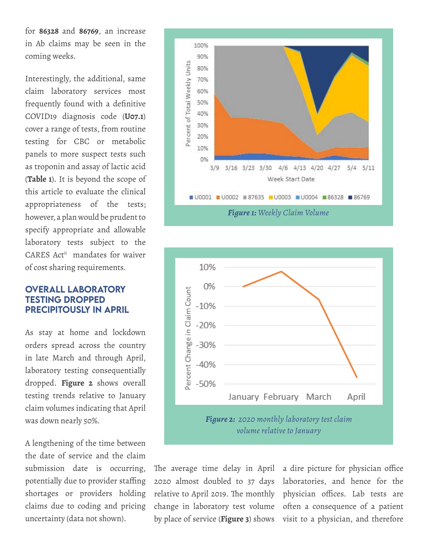for **86328** and **86769**, an increase in Ab claims may be seen in the coming weeks.

Interestingly, the additional, same claim laboratory services most frequently found with a definitive COVID19 diagnosis code (**U07.1**) cover a range of tests, from routine testing for CBC or metabolic panels to more suspect tests such as troponin and assay of lactic acid (**[Table 1](#page-8-0)**). It is beyond the scope of this article to evaluate the clinical appropriateness of the tests; however, a plan would be prudent to specify appropriate and allowable laboratory tests subject to the CARESAct<sup>ii</sup> mandates for waiver of cost sharing requirements.

### OVERALL LABORATORY TESTING DROPPED PRECIPITOUSLY IN APRIL

As stay at home and lockdown orders spread across the country in late March and through April, laboratory testing consequentially dropped. **Figure 2** shows overall testing trends relative to January claim volumes indicating that April was down nearly 50%.

A lengthening of the time between the date of service and the claim submission date is occurring, potentially due to provider staffing shortages or providers holding claims due to coding and pricing uncertainty (data not shown).





The average time delay in April 2020 almost doubled to 37 days relative to April 2019. The monthly change in laboratory test volume by place of service (**[Figure 3](#page-8-0)**) shows

a dire picture for physician office laboratories, and hence for the physician offices. Lab tests are often a consequence of a patient visit to a physician, and therefore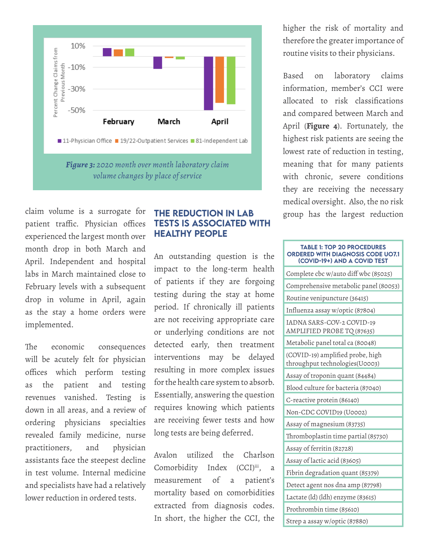<span id="page-8-0"></span>

claim volume is a surrogate for patient traffic. Physician offices experienced the largest month over month drop in both March and April. Independent and hospital labs in March maintained close to February levels with a subsequent drop in volume in April, again as the stay a home orders were implemented.

The economic consequences will be acutely felt for physician offices which perform testing as the patient and testing revenues vanished. Testing is down in all areas, and a review of ordering physicians specialties revealed family medicine, nurse practitioners, and physician assistants face the steepest decline in test volume. Internal medicine and specialists have had a relatively lower reduction in ordered tests.

### THE REDUCTION IN LAB TESTS IS ASSOCIATED WITH HEALTHY PEOPLE

An outstanding question is the impact to the long-term health of patients if they are forgoing testing during the stay at home period. If chronically ill patients are not receiving appropriate care or underlying conditions are not detected early, then treatment interventions may be delayed resulting in more complex issues for the health care system to absorb. Essentially, answering the question requires knowing which patients are receiving fewer tests and how long tests are being deferred.

Avalon utilized the Charlson Comorbidity Index (CCI)[iii](#page-11-1), a measurement of a patient's mortality based on comorbidities extracted from diagnosis codes. In short, the higher the CCI, the higher the risk of mortality and therefore the greater importance of routine visits to their physicians.

Based on laboratory claims information, member's CCI were allocated to risk classifications and compared between March and April (**[Figure 4](#page-9-0)**). Fortunately, the highest risk patients are seeing the lowest rate of reduction in testing, meaning that for many patients with chronic, severe conditions they are receiving the necessary medical oversight. Also, the no risk group has the largest reduction

#### TABLE 1: TOP 20 PROCEDURES ORDERED WITH DIAGNOSIS CODE UO7.1 (COVID-19+) AND A COVID TEST

| Complete cbc w/auto diff wbc (85025)                               |
|--------------------------------------------------------------------|
| Comprehensive metabolic panel (80053)                              |
| Routine venipuncture (36415)                                       |
| Influenza assay w/optic (87804)                                    |
| IADNA SARS-COV-2 COVID-19<br>AMPLIFIED PROBE TQ (87635)            |
| Metabolic panel total ca (80048)                                   |
| (COVID-19) amplified probe, high<br>throughput technologies(U0003) |
| Assay of troponin quant (84484)                                    |
| Blood culture for bacteria (87040)                                 |
| C-reactive protein (86140)                                         |
| Non-CDC COVID19 (U0002)                                            |
| Assay of magnesium (83735)                                         |
| Thromboplastin time partial (85730)                                |
| Assay of ferritin (82728)                                          |
| Assay of lactic acid (83605)                                       |
| Fibrin degradation quant (85379)                                   |
| Detect agent nos dna amp (87798)                                   |
| Lactate (ld) (ldh) enzyme (83615)                                  |
| Prothrombin time (85610)                                           |
| Strep a assay w/optic (87880)                                      |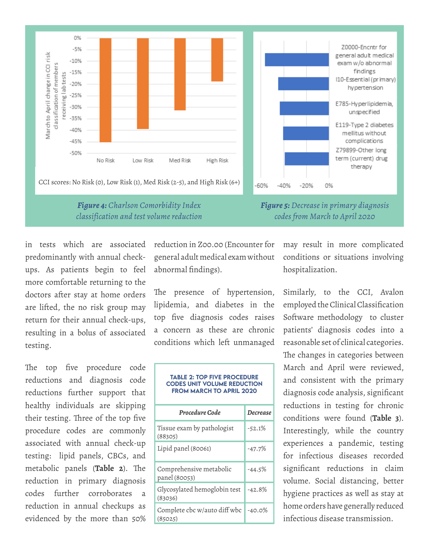<span id="page-9-0"></span>

*Figure 4: Charlson Comorbidity Index classification and test volume reduction* *Figure 5: Decrease in primary diagnosis codes from March to April 2020*

in tests which are associated predominantly with annual checkups. As patients begin to feel more comfortable returning to the doctors after stay at home orders are lifted, the no risk group may return for their annual check-ups, resulting in a bolus of associated testing.

The top five procedure code reductions and diagnosis code reductions further support that healthy individuals are skipping their testing. Three of the top five procedure codes are commonly associated with annual check-up testing: lipid panels, CBCs, and metabolic panels (**Table 2**). The reduction in primary diagnosis codes further corroborates a reduction in annual checkups as evidenced by the more than 50% reduction in Z00.00 (Encounter for general adult medical exam without abnormal findings).

The presence of hypertension, lipidemia, and diabetes in the top five diagnosis codes raises a concern as these are chronic conditions which left unmanaged

### TABLE 2: Top five procedure codes unit volume reduction from March to April 2020

| Procedure Code                           | <b>Decrease</b> |  |
|------------------------------------------|-----------------|--|
| Tissue exam by pathologist<br>(88305)    | $-52.1%$        |  |
| Lipid panel (80061)                      | $-47.7\%$       |  |
| Comprehensive metabolic<br>panel (80053) | $-44.5\%$       |  |
| Glycosylated hemoglobin test<br>(83036)  | $-42.8%$        |  |
| Complete cbc w/auto diff wbc<br>(85025)  | $-40.0%$        |  |

may result in more complicated conditions or situations involving hospitalization.

Similarly, to the CCI, Avalon employed the Clinical Classification Software methodology to cluster patients' diagnosis codes into a reasonable set of clinical categories. The changes in categories between March and April were reviewed, and consistent with the primary diagnosis code analysis, significant reductions in testing for chronic conditions were found (**[Table 3](#page-10-0)**). Interestingly, while the country experiences a pandemic, testing for infectious diseases recorded significant reductions in claim volume. Social distancing, better hygiene practices as well as stay at home orders have generally reduced infectious disease transmission.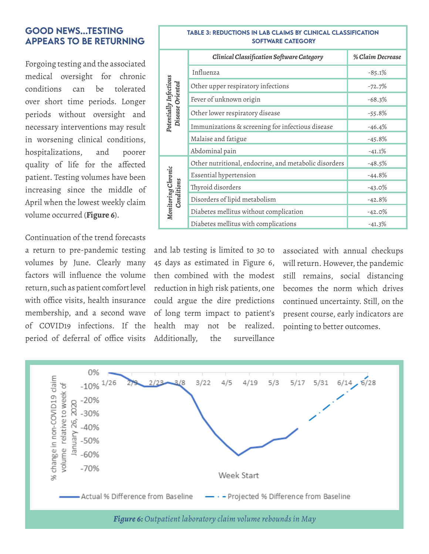### <span id="page-10-0"></span>GOOD NEWS...TESTING APPEARS TO BE RETURNING

Forgoing testing and the associated medical oversight for chronic conditions can be tolerated over short time periods. Longer periods without oversight and necessary interventions may result in worsening clinical conditions, hospitalizations, and poorer quality of life for the affected patient. Testing volumes have been increasing since the middle of April when the lowest weekly claim volume occurred (**Figure 6**).

Continuation of the trend forecasts a return to pre-pandemic testing volumes by June. Clearly many factors will influence the volume return, such as patient comfort level with office visits, health insurance membership, and a second wave of COVID19 infections. If the period of deferral of office visits

### TABLE 3: Reductions in lab claims by Clinical Classification Software category

|                                            | Clinical Classification Software Category             | % Claim Decrease |
|--------------------------------------------|-------------------------------------------------------|------------------|
| Potentially Infectious<br>Disease Oriented | Influenza                                             | $-85.1%$         |
|                                            | Other upper respiratory infections                    | $-72.7%$         |
|                                            | Fever of unknown origin                               | $-68.3%$         |
|                                            | Other lower respiratory disease                       | $-55.8%$         |
|                                            | Immunizations & screening for infectious disease      | $-46.4%$         |
|                                            | Malaise and fatigue                                   | $-45.8%$         |
|                                            | Abdominal pain                                        | $-41.1%$         |
| Monitoring Chronic<br>Conditions           | Other nutritional, endocrine, and metabolic disorders | $-48.5%$         |
|                                            | Essential hypertension                                | $-44.8%$         |
|                                            | Thyroid disorders                                     | $-43.0%$         |
|                                            | Disorders of lipid metabolism                         | $-42.8%$         |
|                                            | Diabetes mellitus without complication                | $-42.0%$         |
|                                            | Diabetes mellitus with complications                  | $-41.3%$         |

and lab testing is limited to 30 to 45 days as estimated in Figure 6, then combined with the modest reduction in high risk patients, one could argue the dire predictions of long term impact to patient's health may not be realized. Additionally, the surveillance

associated with annual checkups will return. However, the pandemic still remains, social distancing becomes the norm which drives continued uncertainty. Still, on the present course, early indicators are pointing to better outcomes.